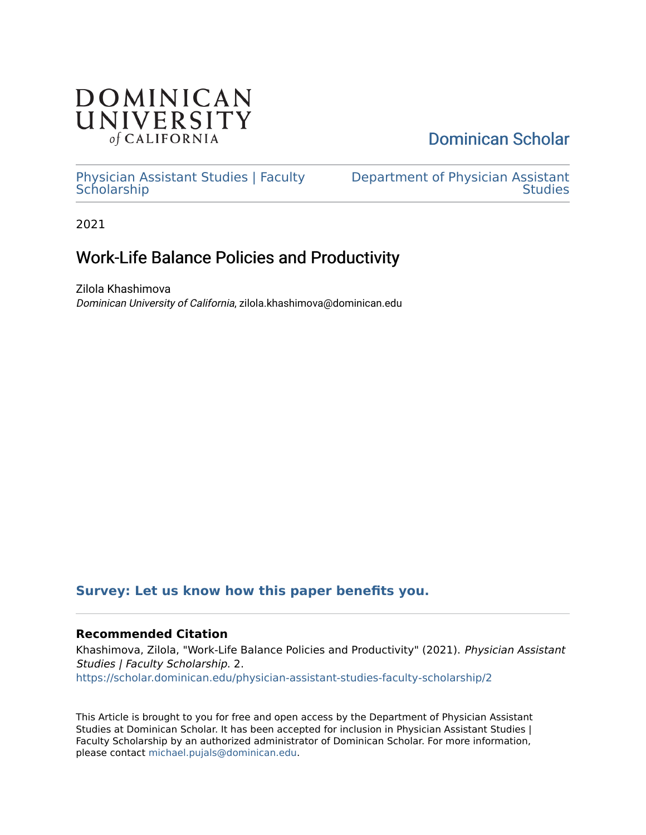# **DOMINICAN** UNIVERSITY of CALIFORNIA

# [Dominican Scholar](https://scholar.dominican.edu/)

[Physician Assistant Studies | Faculty](https://scholar.dominican.edu/physician-assistant-studies-faculty-scholarship) **Scholarship** 

[Department of Physician Assistant](https://scholar.dominican.edu/physician-assistant-studies)  **Studies** 

2021

# Work-Life Balance Policies and Productivity

Zilola Khashimova Dominican University of California, zilola.khashimova@dominican.edu

## **[Survey: Let us know how this paper benefits you.](https://dominican.libwizard.com/dominican-scholar-feedback)**

## **Recommended Citation**

Khashimova, Zilola, "Work-Life Balance Policies and Productivity" (2021). Physician Assistant Studies | Faculty Scholarship. 2. [https://scholar.dominican.edu/physician-assistant-studies-faculty-scholarship/2](https://scholar.dominican.edu/physician-assistant-studies-faculty-scholarship/2?utm_source=scholar.dominican.edu%2Fphysician-assistant-studies-faculty-scholarship%2F2&utm_medium=PDF&utm_campaign=PDFCoverPages) 

This Article is brought to you for free and open access by the Department of Physician Assistant Studies at Dominican Scholar. It has been accepted for inclusion in Physician Assistant Studies | Faculty Scholarship by an authorized administrator of Dominican Scholar. For more information, please contact [michael.pujals@dominican.edu.](mailto:michael.pujals@dominican.edu)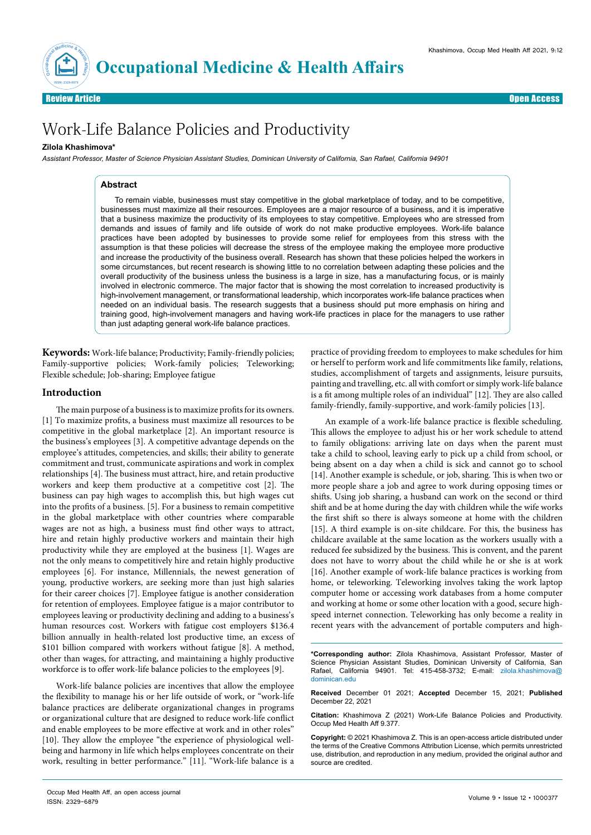

Review Article **Contracts of the Contract of Contracts of the Contracts of the Contracts of Contracts of the Open Access of the Contracts of the Open Access of the Open Access of the Open Access of the Open Access of the O** 

# Work-Life Balance Policies and Productivity

### **Zilola Khashimova\***

*Assistant Professor, Master of Science Physician Assistant Studies, Dominican University of California, San Rafael, California 94901*

#### **Abstract**

To remain viable, businesses must stay competitive in the global marketplace of today, and to be competitive, businesses must maximize all their resources. Employees are a major resource of a business, and it is imperative that a business maximize the productivity of its employees to stay competitive. Employees who are stressed from demands and issues of family and life outside of work do not make productive employees. Work-life balance practices have been adopted by businesses to provide some relief for employees from this stress with the assumption is that these policies will decrease the stress of the employee making the employee more productive and increase the productivity of the business overall. Research has shown that these policies helped the workers in some circumstances, but recent research is showing little to no correlation between adapting these policies and the overall productivity of the business unless the business is a large in size, has a manufacturing focus, or is mainly involved in electronic commerce. The major factor that is showing the most correlation to increased productivity is high-involvement management, or transformational leadership, which incorporates work-life balance practices when needed on an individual basis. The research suggests that a business should put more emphasis on hiring and training good, high-involvement managers and having work-life practices in place for the managers to use rather than just adapting general work-life balance practices.

**Keywords:** Work-life balance; Productivity; Family-friendly policies; Family-supportive policies; Work-family policies; Teleworking; Flexible schedule; Job-sharing; Employee fatigue

### **Introduction**

The main purpose of a business is to maximize profits for its owners. [1] To maximize profits, a business must maximize all resources to be competitive in the global marketplace [2]. An important resource is the business's employees [3]. A competitive advantage depends on the employee's attitudes, competencies, and skills; their ability to generate commitment and trust, communicate aspirations and work in complex relationships [4]. The business must attract, hire, and retain productive workers and keep them productive at a competitive cost [2]. The business can pay high wages to accomplish this, but high wages cut into the profits of a business. [5]. For a business to remain competitive in the global marketplace with other countries where comparable wages are not as high, a business must find other ways to attract, hire and retain highly productive workers and maintain their high productivity while they are employed at the business [1]. Wages are not the only means to competitively hire and retain highly productive employees [6]. For instance, Millennials, the newest generation of young, productive workers, are seeking more than just high salaries for their career choices [7]. Employee fatigue is another consideration for retention of employees. Employee fatigue is a major contributor to employees leaving or productivity declining and adding to a business's human resources cost. Workers with fatigue cost employers \$136.4 billion annually in health-related lost productive time, an excess of \$101 billion compared with workers without fatigue [8]. A method, other than wages, for attracting, and maintaining a highly productive workforce is to offer work-life balance policies to the employees [9].

Work-life balance policies are incentives that allow the employee the flexibility to manage his or her life outside of work, or "work-life balance practices are deliberate organizational changes in programs or organizational culture that are designed to reduce work-life conflict and enable employees to be more effective at work and in other roles" [10]. They allow the employee "the experience of physiological wellbeing and harmony in life which helps employees concentrate on their work, resulting in better performance." [11]. "Work-life balance is a practice of providing freedom to employees to make schedules for him or herself to perform work and life commitments like family, relations, studies, accomplishment of targets and assignments, leisure pursuits, painting and travelling, etc. all with comfort or simply work-life balance is a fit among multiple roles of an individual" [12]. They are also called family-friendly, family-supportive, and work-family policies [13].

An example of a work-life balance practice is flexible scheduling. This allows the employee to adjust his or her work schedule to attend to family obligations: arriving late on days when the parent must take a child to school, leaving early to pick up a child from school, or being absent on a day when a child is sick and cannot go to school [14]. Another example is schedule, or job, sharing. This is when two or more people share a job and agree to work during opposing times or shifts. Using job sharing, a husband can work on the second or third shift and be at home during the day with children while the wife works the first shift so there is always someone at home with the children [15]. A third example is on-site childcare. For this, the business has childcare available at the same location as the workers usually with a reduced fee subsidized by the business. This is convent, and the parent does not have to worry about the child while he or she is at work [16]. Another example of work-life balance practices is working from home, or teleworking. Teleworking involves taking the work laptop computer home or accessing work databases from a home computer and working at home or some other location with a good, secure highspeed internet connection. Teleworking has only become a reality in recent years with the advancement of portable computers and high-

**\*Corresponding author:** Zilola Khashimova, Assistant Professor, Master of Science Physician Assistant Studies, Dominican University of California, San Rafael, California 94901. Tel: 415-458-3732; E-mail: zilola.khashimova@ dominican.edu

**Received** December 01 2021; **Accepted** December 15, 2021; **Published** December 22, 2021

**Citation:** Khashimova Z (2021) Work-Life Balance Policies and Productivity. Occup Med Health Aff 9.377.

**Copyright:** © 2021 Khashimova Z. This is an open-access article distributed under the terms of the Creative Commons Attribution License, which permits unrestricted use, distribution, and reproduction in any medium, provided the original author and source are credited.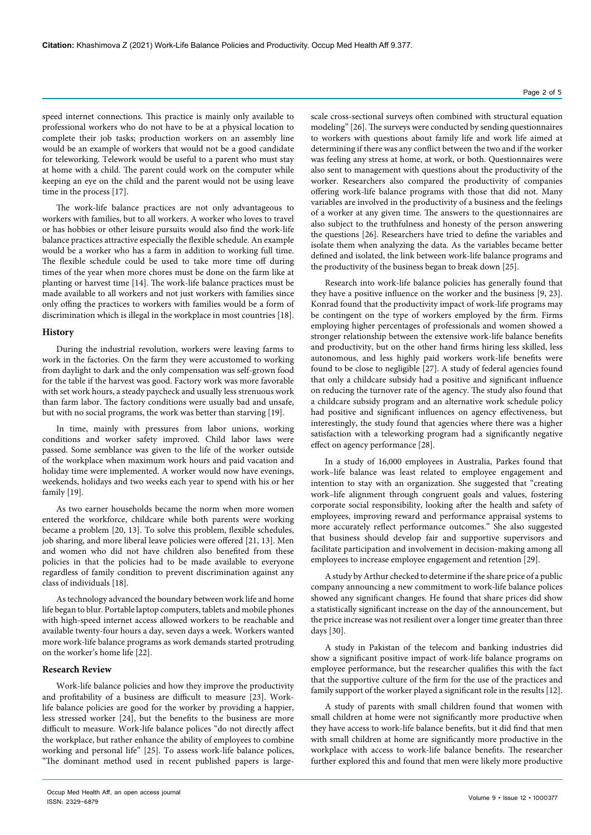speed internet connections. This practice is mainly only available to professional workers who do not have to be at a physical location to complete their job tasks; production workers on an assembly line would be an example of workers that would not be a good candidate for teleworking. Telework would be useful to a parent who must stay at home with a child. The parent could work on the computer while keeping an eye on the child and the parent would not be using leave time in the process [17].

The work-life balance practices are not only advantageous to workers with families, but to all workers. A worker who loves to travel or has hobbies or other leisure pursuits would also find the work-life balance practices attractive especially the flexible schedule. An example would be a worker who has a farm in addition to working full time. The flexible schedule could be used to take more time off during times of the year when more chores must be done on the farm like at planting or harvest time [14]. The work-life balance practices must be made available to all workers and not just workers with families since only offing the practices to workers with families would be a form of discrimination which is illegal in the workplace in most countries [18].

### **History**

During the industrial revolution, workers were leaving farms to work in the factories. On the farm they were accustomed to working from daylight to dark and the only compensation was self-grown food for the table if the harvest was good. Factory work was more favorable with set work hours, a steady paycheck and usually less strenuous work than farm labor. The factory conditions were usually bad and unsafe, but with no social programs, the work was better than starving [19].

In time, mainly with pressures from labor unions, working conditions and worker safety improved. Child labor laws were passed. Some semblance was given to the life of the worker outside of the workplace when maximum work hours and paid vacation and holiday time were implemented. A worker would now have evenings, weekends, holidays and two weeks each year to spend with his or her family [19].

As two earner households became the norm when more women entered the workforce, childcare while both parents were working became a problem [20, 13]. To solve this problem, flexible schedules, job sharing, and more liberal leave policies were offered [21, 13]. Men and women who did not have children also benefited from these policies in that the policies had to be made available to everyone regardless of family condition to prevent discrimination against any class of individuals [18].

As technology advanced the boundary between work life and home life began to blur. Portable laptop computers, tablets and mobile phones with high-speed internet access allowed workers to be reachable and available twenty-four hours a day, seven days a week. Workers wanted more work-life balance programs as work demands started protruding on the worker's home life [22].

#### **Research Review**

Work-life balance policies and how they improve the productivity and profitability of a business are difficult to measure [23]. Worklife balance policies are good for the worker by providing a happier, less stressed worker [24], but the benefits to the business are more difficult to measure. Work-life balance polices "do not directly affect the workplace, but rather enhance the ability of employees to combine working and personal life" [25]. To assess work-life balance polices, "The dominant method used in recent published papers is large-

scale cross-sectional surveys often combined with structural equation modeling" [26]. The surveys were conducted by sending questionnaires to workers with questions about family life and work life aimed at determining if there was any conflict between the two and if the worker was feeling any stress at home, at work, or both. Questionnaires were also sent to management with questions about the productivity of the worker. Researchers also compared the productivity of companies offering work-life balance programs with those that did not. Many variables are involved in the productivity of a business and the feelings of a worker at any given time. The answers to the questionnaires are also subject to the truthfulness and honesty of the person answering the questions [26]. Researchers have tried to define the variables and isolate them when analyzing the data. As the variables became better defined and isolated, the link between work-life balance programs and the productivity of the business began to break down [25].

Research into work-life balance policies has generally found that they have a positive influence on the worker and the business [9, 23]. Konrad found that the productivity impact of work-life programs may be contingent on the type of workers employed by the firm. Firms employing higher percentages of professionals and women showed a stronger relationship between the extensive work-life balance benefits and productivity, but on the other hand firms hiring less skilled, less autonomous, and less highly paid workers work-life benefits were found to be close to negligible [27]. A study of federal agencies found that only a childcare subsidy had a positive and significant influence on reducing the turnover rate of the agency. The study also found that a childcare subsidy program and an alternative work schedule policy had positive and significant influences on agency effectiveness, but interestingly, the study found that agencies where there was a higher satisfaction with a teleworking program had a significantly negative effect on agency performance [28].

In a study of 16,000 employees in Australia, Parkes found that work–life balance was least related to employee engagement and intention to stay with an organization. She suggested that "creating work–life alignment through congruent goals and values, fostering corporate social responsibility, looking after the health and safety of employees, improving reward and performance appraisal systems to more accurately reflect performance outcomes." She also suggested that business should develop fair and supportive supervisors and facilitate participation and involvement in decision-making among all employees to increase employee engagement and retention [29].

A study by Arthur checked to determine if the share price of a public company announcing a new commitment to work-life balance polices showed any significant changes. He found that share prices did show a statistically significant increase on the day of the announcement, but the price increase was not resilient over a longer time greater than three days [30].

A study in Pakistan of the telecom and banking industries did show a significant positive impact of work-life balance programs on employee performance, but the researcher qualifies this with the fact that the supportive culture of the firm for the use of the practices and family support of the worker played a significant role in the results [12].

A study of parents with small children found that women with small children at home were not significantly more productive when they have access to work-life balance benefits, but it did find that men with small children at home are significantly more productive in the workplace with access to work-life balance benefits. The researcher further explored this and found that men were likely more productive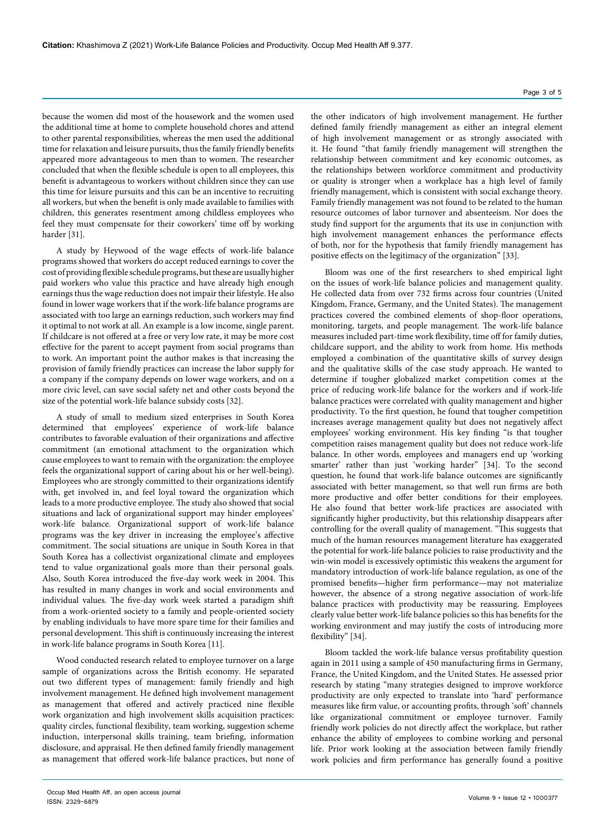because the women did most of the housework and the women used the additional time at home to complete household chores and attend to other parental responsibilities, whereas the men used the additional time for relaxation and leisure pursuits, thus the family friendly benefits appeared more advantageous to men than to women. The researcher concluded that when the flexible schedule is open to all employees, this benefit is advantageous to workers without children since they can use this time for leisure pursuits and this can be an incentive to recruiting all workers, but when the benefit is only made available to families with children, this generates resentment among childless employees who feel they must compensate for their coworkers' time off by working harder [31].

A study by Heywood of the wage effects of work-life balance programs showed that workers do accept reduced earnings to cover the cost of providing flexible schedule programs, but these are usually higher paid workers who value this practice and have already high enough earnings thus the wage reduction does not impair their lifestyle. He also found in lower wage workers that if the work-life balance programs are associated with too large an earnings reduction, such workers may find it optimal to not work at all. An example is a low income, single parent. If childcare is not offered at a free or very low rate, it may be more cost effective for the parent to accept payment from social programs than to work. An important point the author makes is that increasing the provision of family friendly practices can increase the labor supply for a company if the company depends on lower wage workers, and on a more civic level, can save social safety net and other costs beyond the size of the potential work-life balance subsidy costs [32].

A study of small to medium sized enterprises in South Korea determined that employees' experience of work-life balance contributes to favorable evaluation of their organizations and affective commitment (an emotional attachment to the organization which cause employees to want to remain with the organization: the employee feels the organizational support of caring about his or her well-being). Employees who are strongly committed to their organizations identify with, get involved in, and feel loyal toward the organization which leads to a more productive employee. The study also showed that social situations and lack of organizational support may hinder employees' work-life balance. Organizational support of work-life balance programs was the key driver in increasing the employee's affective commitment. The social situations are unique in South Korea in that South Korea has a collectivist organizational climate and employees tend to value organizational goals more than their personal goals. Also, South Korea introduced the five-day work week in 2004. This has resulted in many changes in work and social environments and individual values. The five-day work week started a paradigm shift from a work-oriented society to a family and people-oriented society by enabling individuals to have more spare time for their families and personal development. This shift is continuously increasing the interest in work-life balance programs in South Korea [11].

Wood conducted research related to employee turnover on a large sample of organizations across the British economy. He separated out two different types of management: family friendly and high involvement management. He defined high involvement management as management that offered and actively practiced nine flexible work organization and high involvement skills acquisition practices: quality circles, functional flexibility, team working, suggestion scheme induction, interpersonal skills training, team briefing, information disclosure, and appraisal. He then defined family friendly management as management that offered work-life balance practices, but none of

the other indicators of high involvement management. He further defined family friendly management as either an integral element of high involvement management or as strongly associated with it. He found "that family friendly management will strengthen the relationship between commitment and key economic outcomes, as the relationships between workforce commitment and productivity or quality is stronger when a workplace has a high level of family friendly management, which is consistent with social exchange theory. Family friendly management was not found to be related to the human resource outcomes of labor turnover and absenteeism. Nor does the study find support for the arguments that its use in conjunction with high involvement management enhances the performance effects of both, nor for the hypothesis that family friendly management has positive effects on the legitimacy of the organization" [33].

Bloom was one of the first researchers to shed empirical light on the issues of work-life balance policies and management quality. He collected data from over 732 firms across four countries (United Kingdom, France, Germany, and the United States). The management practices covered the combined elements of shop-floor operations, monitoring, targets, and people management. The work-life balance measures included part-time work flexibility, time off for family duties, childcare support, and the ability to work from home. His methods employed a combination of the quantitative skills of survey design and the qualitative skills of the case study approach. He wanted to determine if tougher globalized market competition comes at the price of reducing work-life balance for the workers and if work-life balance practices were correlated with quality management and higher productivity. To the first question, he found that tougher competition increases average management quality but does not negatively affect employees' working environment. His key finding "is that tougher competition raises management quality but does not reduce work-life balance. In other words, employees and managers end up 'working smarter' rather than just 'working harder" [34]. To the second question, he found that work-life balance outcomes are significantly associated with better management, so that well run firms are both more productive and offer better conditions for their employees. He also found that better work-life practices are associated with significantly higher productivity, but this relationship disappears after controlling for the overall quality of management. "This suggests that much of the human resources management literature has exaggerated the potential for work-life balance policies to raise productivity and the win-win model is excessively optimistic this weakens the argument for mandatory introduction of work-life balance regulation, as one of the promised benefits—higher firm performance—may not materialize however, the absence of a strong negative association of work-life balance practices with productivity may be reassuring. Employees clearly value better work-life balance policies so this has benefits for the working environment and may justify the costs of introducing more flexibility" [34].

Bloom tackled the work-life balance versus profitability question again in 2011 using a sample of 450 manufacturing firms in Germany, France, the United Kingdom, and the United States. He assessed prior research by stating "many strategies designed to improve workforce productivity are only expected to translate into 'hard' performance measures like firm value, or accounting profits, through 'soft' channels like organizational commitment or employee turnover. Family friendly work policies do not directly affect the workplace, but rather enhance the ability of employees to combine working and personal life. Prior work looking at the association between family friendly work policies and firm performance has generally found a positive

Page 3 of 5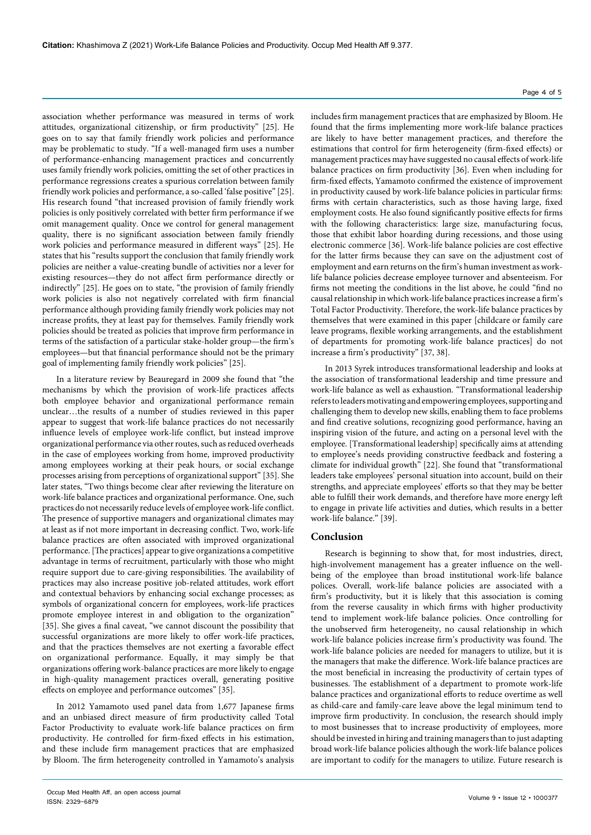association whether performance was measured in terms of work attitudes, organizational citizenship, or firm productivity" [25]. He goes on to say that family friendly work policies and performance may be problematic to study. "If a well-managed firm uses a number of performance-enhancing management practices and concurrently uses family friendly work policies, omitting the set of other practices in performance regressions creates a spurious correlation between family friendly work policies and performance, a so-called 'false positive" [25]. His research found "that increased provision of family friendly work policies is only positively correlated with better firm performance if we omit management quality. Once we control for general management quality, there is no significant association between family friendly work policies and performance measured in different ways" [25]. He states that his "results support the conclusion that family friendly work policies are neither a value-creating bundle of activities nor a lever for existing resources—they do not affect firm performance directly or indirectly" [25]. He goes on to state, "the provision of family friendly work policies is also not negatively correlated with firm financial performance although providing family friendly work policies may not increase profits, they at least pay for themselves. Family friendly work policies should be treated as policies that improve firm performance in terms of the satisfaction of a particular stake-holder group—the firm's employees—but that financial performance should not be the primary goal of implementing family friendly work policies" [25].

In a literature review by Beauregard in 2009 she found that "the mechanisms by which the provision of work-life practices affects both employee behavior and organizational performance remain unclear…the results of a number of studies reviewed in this paper appear to suggest that work-life balance practices do not necessarily influence levels of employee work-life conflict, but instead improve organizational performance via other routes, such as reduced overheads in the case of employees working from home, improved productivity among employees working at their peak hours, or social exchange processes arising from perceptions of organizational support" [35]. She later states, "Two things become clear after reviewing the literature on work-life balance practices and organizational performance. One, such practices do not necessarily reduce levels of employee work-life conflict. The presence of supportive managers and organizational climates may at least as if not more important in decreasing conflict. Two, work-life balance practices are often associated with improved organizational performance. [The practices] appear to give organizations a competitive advantage in terms of recruitment, particularly with those who might require support due to care-giving responsibilities. The availability of practices may also increase positive job-related attitudes, work effort and contextual behaviors by enhancing social exchange processes; as symbols of organizational concern for employees, work-life practices promote employee interest in and obligation to the organization" [35]. She gives a final caveat, "we cannot discount the possibility that successful organizations are more likely to offer work-life practices, and that the practices themselves are not exerting a favorable effect on organizational performance. Equally, it may simply be that organizations offering work-balance practices are more likely to engage in high-quality management practices overall, generating positive effects on employee and performance outcomes" [35].

In 2012 Yamamoto used panel data from 1,677 Japanese firms and an unbiased direct measure of firm productivity called Total Factor Productivity to evaluate work-life balance practices on firm productivity. He controlled for firm-fixed effects in his estimation, and these include firm management practices that are emphasized by Bloom. The firm heterogeneity controlled in Yamamoto's analysis

### Page 4 of 5

includes firm management practices that are emphasized by Bloom. He found that the firms implementing more work-life balance practices are likely to have better management practices, and therefore the estimations that control for firm heterogeneity (firm-fixed effects) or management practices may have suggested no causal effects of work-life balance practices on firm productivity [36]. Even when including for firm-fixed effects, Yamamoto confirmed the existence of improvement in productivity caused by work-life balance policies in particular firms: firms with certain characteristics, such as those having large, fixed employment costs. He also found significantly positive effects for firms with the following characteristics: large size, manufacturing focus, those that exhibit labor hoarding during recessions, and those using electronic commerce [36]. Work-life balance policies are cost effective for the latter firms because they can save on the adjustment cost of employment and earn returns on the firm's human investment as worklife balance policies decrease employee turnover and absenteeism. For firms not meeting the conditions in the list above, he could "find no causal relationship in which work-life balance practices increase a firm's Total Factor Productivity. Therefore, the work-life balance practices by themselves that were examined in this paper [childcare or family care leave programs, flexible working arrangements, and the establishment of departments for promoting work-life balance practices] do not increase a firm's productivity" [37, 38].

In 2013 Syrek introduces transformational leadership and looks at the association of transformational leadership and time pressure and work-life balance as well as exhaustion. "Transformational leadership refers to leaders motivating and empowering employees, supporting and challenging them to develop new skills, enabling them to face problems and find creative solutions, recognizing good performance, having an inspiring vision of the future, and acting on a personal level with the employee. [Transformational leadership] specifically aims at attending to employee's needs providing constructive feedback and fostering a climate for individual growth" [22]. She found that "transformational leaders take employees' personal situation into account, build on their strengths, and appreciate employees' efforts so that they may be better able to fulfill their work demands, and therefore have more energy left to engage in private life activities and duties, which results in a better work-life balance." [39].

### **Conclusion**

Research is beginning to show that, for most industries, direct, high-involvement management has a greater influence on the wellbeing of the employee than broad institutional work-life balance polices. Overall, work-life balance policies are associated with a firm's productivity, but it is likely that this association is coming from the reverse causality in which firms with higher productivity tend to implement work-life balance policies. Once controlling for the unobserved firm heterogeneity, no causal relationship in which work-life balance policies increase firm's productivity was found. The work-life balance policies are needed for managers to utilize, but it is the managers that make the difference. Work-life balance practices are the most beneficial in increasing the productivity of certain types of businesses. The establishment of a department to promote work-life balance practices and organizational efforts to reduce overtime as well as child-care and family-care leave above the legal minimum tend to improve firm productivity. In conclusion, the research should imply to most businesses that to increase productivity of employees, more should be invested in hiring and training managers than to just adapting broad work-life balance policies although the work-life balance polices are important to codify for the managers to utilize. Future research is